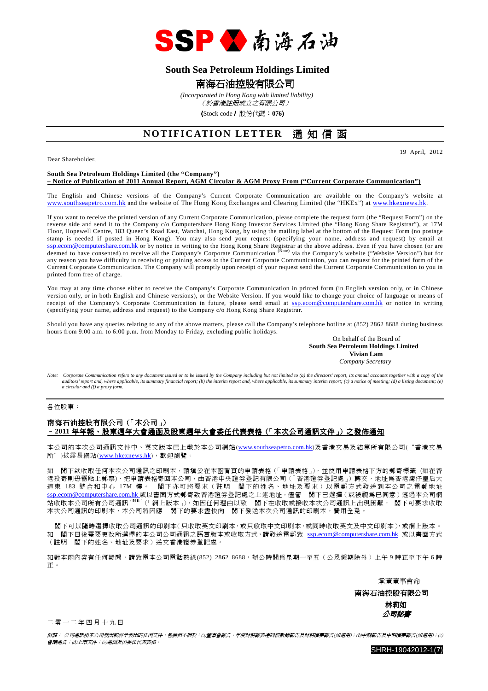

## **South Sea Petroleum Holdings Limited**

## 南海石油控股有限公司

 *(Incorporated in Hong Kong with limited liability)*

(於香港註冊成立之有限公司)

(Stock code/ 股份代碼:**076**)

## **NOTIFICATION LETTER** 通知信函

Dear Shareholder,

19 April, 2012

#### **South Sea Petroleum Holdings Limited (the "Company") – Notice of Publication of 2011 Annual Report, AGM Circular & AGM Proxy From ("Current Corporate Communication")**

The English and Chinese versions of the Company's Current Corporate Communication are available on the Company's website at www.southseapetro.com.hk and the website of The Hong Kong Exchanges and Clearing Limited (the "HKEx") at www.hkexnews.hk.

If you want to receive the printed version of any Current Corporate Communication, please complete the request form (the "Request Form") on the reverse side and send it to the Company c/o Computershare Hong Kong Investor Services Limited (the "Hong Kong Share Registrar"), at 17M Floor, Hopewell Centre, 183 Queen's Road East, Wanchai, Hong Kong, by using the mailing label at the bottom of the Request Form (no postage stamp is needed if posted in Hong Kong). You may also send your request (specifying your name, address and request) by email at ssp.ecom@computershare.com.hk or by notice in writing to the Hong Kong Share Registrar at the above address. Even if you have chosen (or are<br>deemed to have consented) to receive all the Company's Corporate Communication <sup>(</sup> any reason you have difficulty in receiving or gaining access to the Current Corporate Communication, you can request for the printed form of the any reason you have difficulty in receiving or gaining access to the Current Current Corporate Communication. The Company will promptly upon receipt of your request send the Current Corporate Communication to you in printed form free of charge.

You may at any time choose either to receive the Company's Corporate Communication in printed form (in English version only, or in Chinese version only, or in both English and Chinese versions), or the Website Version. If you would like to change your choice of language or means of receipt of the Company's Corporate Communication in future, please send email at ssp.ecom@computershare.com.hk or notice in writing (specifying your name, address and request) to the Company c/o Hong Kong Share Registrar.

Should you have any queries relating to any of the above matters, please call the Company's telephone hotline at (852) 2862 8688 during business hours from 9:00 a.m. to 6:00 p.m. from Monday to Friday, excluding public holidays.

On behalf of the Board of  **South Sea Petroleum Holdings Limited Vivian Lam**  *Company Secretary* 

*Note: Corporate Communication refers to any document issued or to be issued by the Company including but not limited to (a) the directors' report, its annual accounts together with a copy of the auditors' report and, where applicable, its summary financial report; (b) the interim report and, where applicable, its summary interim report; (c) a notice of meeting; (d) a listing document; (e) a circular and (f) a proxy form.* 

各位股東:

### 南海石油控股有限公司(「本公司」) –**2011** 年年報、股東週年大會通函及股東週年大會委任代表表格(「本次公司通訊文件」)之發佈通知

本公司的本次公司通訊文件中、 英文版本已上載於本公司網站(www.southseapetro.com.hk)及香港交易及結算所有限公司("香港交易 所")披露易網站(www.hkexnews.hk),歡迎瀏覽。

如 閣下欲收取任何本次公司通訊之印刷本,請填妥在本函背頁的申請表格(「申請表格」),並使用申請表格下方的郵寄標籤 (如在香 港投寄則毋需貼上郵票),把申請表格寄回本公司,由香港中央證券登記有限公司(「香港證券登記處」)轉交,地址為香港灣仔皇后大 道東 183 號合和中心 17M 樓。 閣下亦可將要求(註明 閣下的姓名、地址及要求)以電郵方式發送到本公司之電郵地址 s<u>sp.ecom@computershare.com.hk</u> 或以書面方式郵寄致香港證券登記處之上述地址。儘管 閣下已選擇 ( 或被視爲已同意 ) 透過本公司網 站收取本公司所有公司通訊<sup>(附註)</sup>(「網上版本」),如因任何理由以致 閣下在收取或接收本次公司通訊上出現困難, 閣下可要求收取 本次公司通訊的印刷本,本公司將因應 閣下的要求盡快向 閣下發送本次公司通訊的印刷本,費用全免。

 閣下可以隨時選擇收取公司通訊的印刷本(只收取英文印刷本,或只收取中文印刷本,或同時收取英文及中文印刷本),或網上版本。 如 閣下日後需要更改所選擇的本公司公司通訊之語言版本或收取方式,請發送電郵致 ssp.ecom@computershare.com.hk 或以書面方式 (註明 閣下的姓名、地址及要求)送交香港證券登記處。

如對本函內容有任何疑問,請致電本公司電話熱線(852) 2862 8688,辦公時間為星期一至五(公眾假期除外)上午 9 時正至下午 6 時 正。

承董董事會命

 南海石油控股有限公司 林莉如 公司秘書

二 零 一 二 年 四 月 十 九 日

附註: 公司通訊指本公司發出或將予發出的任何文件,包括但不限於:(a)董事會報告、年度財務報表連同核數師報告及財務摘要報告(如適用);(b)中期報告及中期摘要報告(如適用);(c) 會議通告;(d)上市文件;(e)通函及(f)委任代表表格。

SHRH-19042012-1(7)